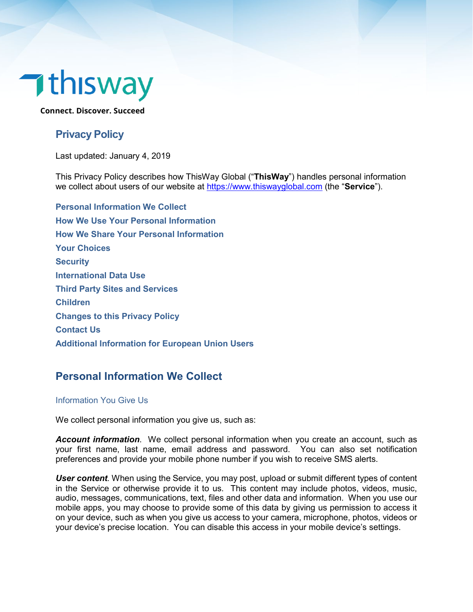# $\n **1**$ thisway

**Connect. Discover. Succeed**

# **Privacy Policy**

Last updated: January 4, 2019

This Privacy Policy describes how ThisWay Global ("**ThisWay**") handles personal information we collect about users of our website at [https://www.thiswayglobal.com](https://www.thiswayglobal.com/) (the "**Service**").

**[Personal Information We Collect](#page-0-0) [How We Use Your Personal Information](#page-1-0) [How We Share Your Personal Information](#page-3-0) [Your Choices](#page-3-1) [Security](#page-4-0) [International Data Use](#page-4-1) [Third Party Sites and Services](#page-4-2) [Children](#page-4-3) [Changes to this Privacy Policy](#page-5-0) [Contact Us](#page-5-1) Additional Information for European Union Users**

# <span id="page-0-0"></span>**Personal Information We Collect**

#### Information You Give Us

We collect personal information you give us, such as:

*Account information*. We collect personal information when you create an account, such as your first name, last name, email address and password. You can also set notification preferences and provide your mobile phone number if you wish to receive SMS alerts.

*User content.* When using the Service, you may post, upload or submit different types of content in the Service or otherwise provide it to us. This content may include photos, videos, music, audio, messages, communications, text, files and other data and information. When you use our mobile apps, you may choose to provide some of this data by giving us permission to access it on your device, such as when you give us access to your camera, microphone, photos, videos or your device's precise location. You can disable this access in your mobile device's settings.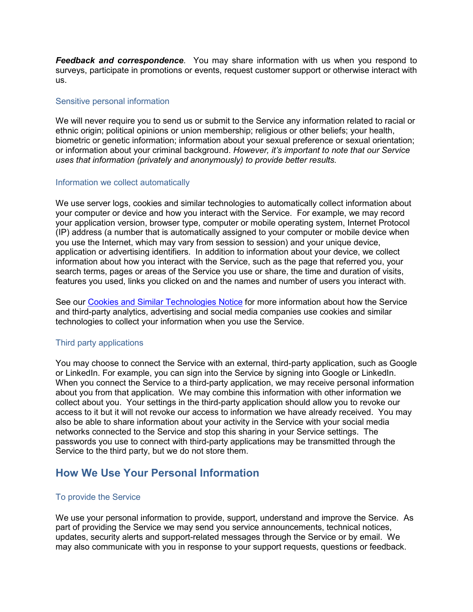*Feedback and correspondence*. You may share information with us when you respond to surveys, participate in promotions or events, request customer support or otherwise interact with us.

#### Sensitive personal information

We will never require you to send us or submit to the Service any information related to racial or ethnic origin; political opinions or union membership; religious or other beliefs; your health, biometric or genetic information; information about your sexual preference or sexual orientation; or information about your criminal background. *However, it's important to note that our Service uses that information (privately and anonymously) to provide better results.*

#### <span id="page-1-1"></span>Information we collect automatically

We use server logs, cookies and similar technologies to automatically collect information about your computer or device and how you interact with the Service. For example, we may record your application version, browser type, computer or mobile operating system, Internet Protocol (IP) address (a number that is automatically assigned to your computer or mobile device when you use the Internet, which may vary from session to session) and your unique device, application or advertising identifiers. In addition to information about your device, we collect information about how you interact with the Service, such as the page that referred you, your search terms, pages or areas of the Service you use or share, the time and duration of visits, features you used, links you clicked on and the names and number of users you interact with.

See our Cookies [and Similar Technologies Notice](#page-5-2) for more information about how the Service and third-party analytics, advertising and social media companies use cookies and similar technologies to collect your information when you use the Service.

#### Third party applications

You may choose to connect the Service with an external, third-party application, such as Google or LinkedIn. For example, you can sign into the Service by signing into Google or LinkedIn. When you connect the Service to a third-party application, we may receive personal information about you from that application. We may combine this information with other information we collect about you. Your settings in the third-party application should allow you to revoke our access to it but it will not revoke our access to information we have already received. You may also be able to share information about your activity in the Service with your social media networks connected to the Service and stop this sharing in your Service settings. The passwords you use to connect with third-party applications may be transmitted through the Service to the third party, but we do not store them.

## <span id="page-1-0"></span>**How We Use Your Personal Information**

#### To provide the Service

We use your personal information to provide, support, understand and improve the Service. As part of providing the Service we may send you service announcements, technical notices, updates, security alerts and support-related messages through the Service or by email. We may also communicate with you in response to your support requests, questions or feedback.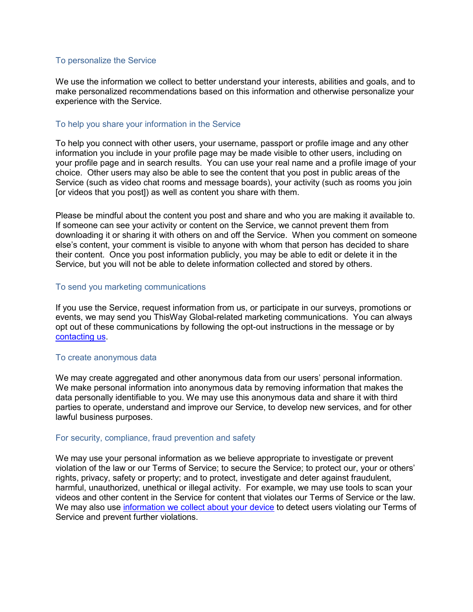#### To personalize the Service

We use the information we collect to better understand your interests, abilities and goals, and to make personalized recommendations based on this information and otherwise personalize your experience with the Service.

#### To help you share your information in the Service

To help you connect with other users, your username, passport or profile image and any other information you include in your profile page may be made visible to other users, including on your profile page and in search results. You can use your real name and a profile image of your choice. Other users may also be able to see the content that you post in public areas of the Service (such as video chat rooms and message boards), your activity (such as rooms you join [or videos that you post]) as well as content you share with them.

Please be mindful about the content you post and share and who you are making it available to. If someone can see your activity or content on the Service, we cannot prevent them from downloading it or sharing it with others on and off the Service. When you comment on someone else's content, your comment is visible to anyone with whom that person has decided to share their content. Once you post information publicly, you may be able to edit or delete it in the Service, but you will not be able to delete information collected and stored by others.

#### To send you marketing communications

If you use the Service, request information from us, or participate in our surveys, promotions or events, we may send you ThisWay Global-related marketing communications. You can always opt out of these communications by following the opt-out instructions in the message or by [contacting us.](#page-5-1)

#### To create anonymous data

We may create aggregated and other anonymous data from our users' personal information. We make personal information into anonymous data by removing information that makes the data personally identifiable to you. We may use this anonymous data and share it with third parties to operate, understand and improve our Service, to develop new services, and for other lawful business purposes.

#### <span id="page-2-0"></span>For security, compliance, fraud prevention and safety

We may use your personal information as we believe appropriate to investigate or prevent violation of the law or our Terms of Service; to secure the Service; to protect our, your or others' rights, privacy, safety or property; and to protect, investigate and deter against fraudulent, harmful, unauthorized, unethical or illegal activity. For example, we may use tools to scan your videos and other content in the Service for content that violates our Terms of Service or the law. We may also use [information we collect about your device](#page-1-1) to detect users violating our Terms of Service and prevent further violations.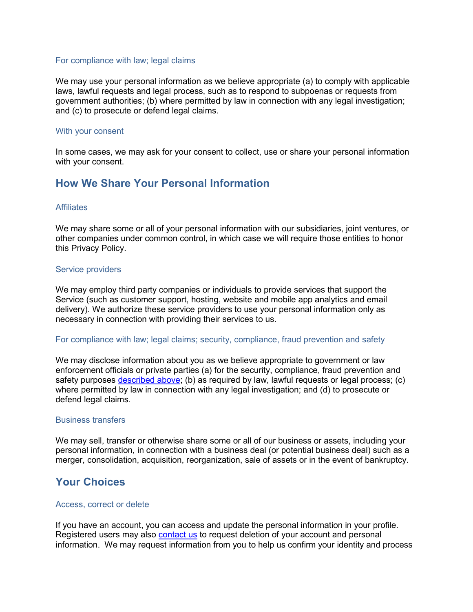#### For compliance with law; legal claims

We may use your personal information as we believe appropriate (a) to comply with applicable laws, lawful requests and legal process, such as to respond to subpoenas or requests from government authorities; (b) where permitted by law in connection with any legal investigation; and (c) to prosecute or defend legal claims.

#### With your consent

In some cases, we may ask for your consent to collect, use or share your personal information with your consent.

## <span id="page-3-0"></span>**How We Share Your Personal Information**

#### **Affiliates**

We may share some or all of your personal information with our subsidiaries, joint ventures, or other companies under common control, in which case we will require those entities to honor this Privacy Policy.

#### Service providers

We may employ third party companies or individuals to provide services that support the Service (such as customer support, hosting, website and mobile app analytics and email delivery). We authorize these service providers to use your personal information only as necessary in connection with providing their services to us.

#### For compliance with law; legal claims; security, compliance, fraud prevention and safety

We may disclose information about you as we believe appropriate to government or law enforcement officials or private parties (a) for the security, compliance, fraud prevention and safety purposes [described above;](#page-2-0) (b) as required by law, lawful requests or legal process; (c) where permitted by law in connection with any legal investigation; and (d) to prosecute or defend legal claims.

#### Business transfers

We may sell, transfer or otherwise share some or all of our business or assets, including your personal information, in connection with a business deal (or potential business deal) such as a merger, consolidation, acquisition, reorganization, sale of assets or in the event of bankruptcy.

## <span id="page-3-1"></span>**Your Choices**

#### Access, correct or delete

If you have an account, you can access and update the personal information in your profile. Registered users may also [contact us](#page-5-1) to request deletion of your account and personal information. We may request information from you to help us confirm your identity and process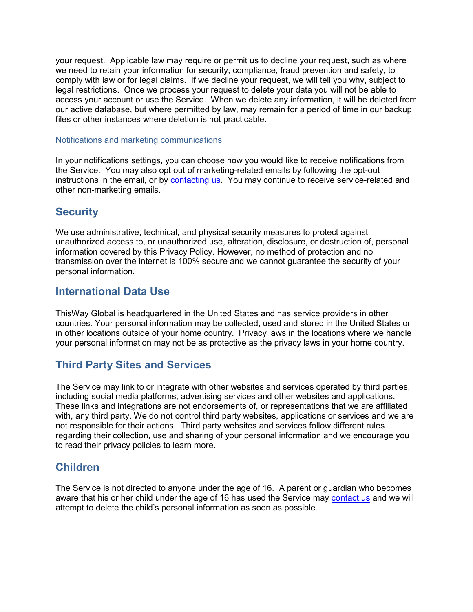your request. Applicable law may require or permit us to decline your request, such as where we need to retain your information for security, compliance, fraud prevention and safety, to comply with law or for legal claims. If we decline your request, we will tell you why, subject to legal restrictions. Once we process your request to delete your data you will not be able to access your account or use the Service. When we delete any information, it will be deleted from our active database, but where permitted by law, may remain for a period of time in our backup files or other instances where deletion is not practicable.

#### Notifications and marketing communications

In your notifications settings, you can choose how you would like to receive notifications from the Service. You may also opt out of marketing-related emails by following the opt-out instructions in the email, or by [contacting us.](#page-5-1) You may continue to receive service-related and other non-marketing emails.

# <span id="page-4-0"></span>**Security**

<span id="page-4-1"></span>We use administrative, technical, and physical security measures to protect against unauthorized access to, or unauthorized use, alteration, disclosure, or destruction of, personal information covered by this Privacy Policy. However, no method of protection and no transmission over the internet is 100% secure and we cannot guarantee the security of your personal information.

## **International Data Use**

ThisWay Global is headquartered in the United States and has service providers in other countries. Your personal information may be collected, used and stored in the United States or in other locations outside of your home country. Privacy laws in the locations where we handle your personal information may not be as protective as the privacy laws in your home country.

# <span id="page-4-2"></span>**Third Party Sites and Services**

The Service may link to or integrate with other websites and services operated by third parties, including social media platforms, advertising services and other websites and applications. These links and integrations are not endorsements of, or representations that we are affiliated with, any third party. We do not control third party websites, applications or services and we are not responsible for their actions. Third party websites and services follow different rules regarding their collection, use and sharing of your personal information and we encourage you to read their privacy policies to learn more.

## <span id="page-4-3"></span>**Children**

The Service is not directed to anyone under the age of 16. A parent or guardian who becomes aware that his or her child under the age of 16 has used the Service may [contact us](#page-5-1) and we will attempt to delete the child's personal information as soon as possible.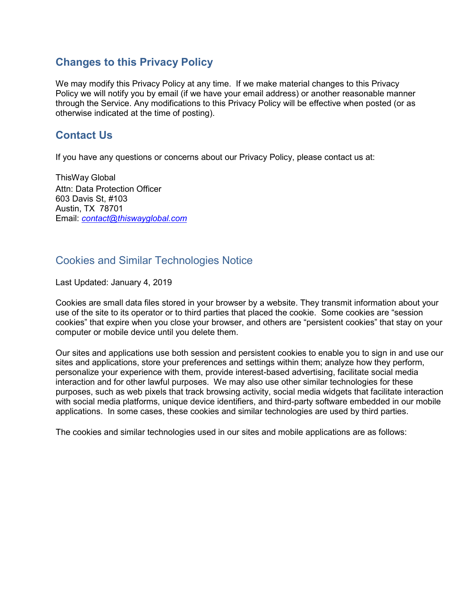## <span id="page-5-0"></span>**Changes to this Privacy Policy**

We may modify this Privacy Policy at any time. If we make material changes to this Privacy Policy we will notify you by email (if we have your email address) or another reasonable manner through the Service. Any modifications to this Privacy Policy will be effective when posted (or as otherwise indicated at the time of posting).

# <span id="page-5-1"></span>**Contact Us**

If you have any questions or concerns about our Privacy Policy, please contact us at:

ThisWay Global Attn: Data Protection Officer 603 Davis St, #103 Austin, TX 78701 Email: *[contact@thiswayglobal.com](mailto:contact@thiswayglobal.com)*

# <span id="page-5-2"></span>Cookies and Similar Technologies Notice

Last Updated: January 4, 2019

Cookies are small data files stored in your browser by a website. They transmit information about your use of the site to its operator or to third parties that placed the cookie. Some cookies are "session cookies" that expire when you close your browser, and others are "persistent cookies" that stay on your computer or mobile device until you delete them.

Our sites and applications use both session and persistent cookies to enable you to sign in and use our sites and applications, store your preferences and settings within them; analyze how they perform, personalize your experience with them, provide interest-based advertising, facilitate social media interaction and for other lawful purposes. We may also use other similar technologies for these purposes, such as web pixels that track browsing activity, social media widgets that facilitate interaction with social media platforms, unique device identifiers, and third-party software embedded in our mobile applications. In some cases, these cookies and similar technologies are used by third parties.

The cookies and similar technologies used in our sites and mobile applications are as follows: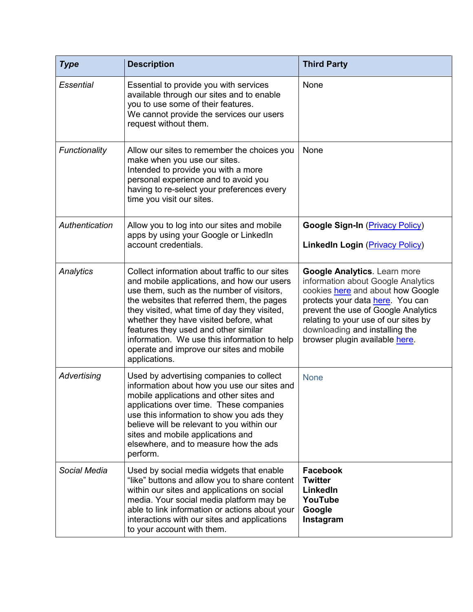| <b>Type</b>      | <b>Description</b>                                                                                                                                                                                                                                                                                                                                                                                                                     | <b>Third Party</b>                                                                                                                                                                                                                                                                                    |
|------------------|----------------------------------------------------------------------------------------------------------------------------------------------------------------------------------------------------------------------------------------------------------------------------------------------------------------------------------------------------------------------------------------------------------------------------------------|-------------------------------------------------------------------------------------------------------------------------------------------------------------------------------------------------------------------------------------------------------------------------------------------------------|
| <b>Essential</b> | Essential to provide you with services<br>available through our sites and to enable<br>you to use some of their features.<br>We cannot provide the services our users<br>request without them.                                                                                                                                                                                                                                         | None                                                                                                                                                                                                                                                                                                  |
| Functionality    | Allow our sites to remember the choices you<br>make when you use our sites.<br>Intended to provide you with a more<br>personal experience and to avoid you<br>having to re-select your preferences every<br>time you visit our sites.                                                                                                                                                                                                  | None                                                                                                                                                                                                                                                                                                  |
| Authentication   | Allow you to log into our sites and mobile<br>apps by using your Google or LinkedIn<br>account credentials.                                                                                                                                                                                                                                                                                                                            | <b>Google Sign-In (Privacy Policy)</b><br>LinkedIn Login (Privacy Policy)                                                                                                                                                                                                                             |
| Analytics        | Collect information about traffic to our sites<br>and mobile applications, and how our users<br>use them, such as the number of visitors,<br>the websites that referred them, the pages<br>they visited, what time of day they visited,<br>whether they have visited before, what<br>features they used and other similar<br>information. We use this information to help<br>operate and improve our sites and mobile<br>applications. | <b>Google Analytics. Learn more</b><br>information about Google Analytics<br>cookies here and about how Google<br>protects your data here. You can<br>prevent the use of Google Analytics<br>relating to your use of our sites by<br>downloading and installing the<br>browser plugin available here. |
| Advertising      | Used by advertising companies to collect<br>information about how you use our sites and<br>mobile applications and other sites and<br>applications over time. These companies<br>use this information to show you ads they<br>believe will be relevant to you within our<br>sites and mobile applications and<br>elsewhere, and to measure how the ads<br>perform.                                                                     | <b>None</b>                                                                                                                                                                                                                                                                                           |
| Social Media     | Used by social media widgets that enable<br>"like" buttons and allow you to share content<br>within our sites and applications on social<br>media. Your social media platform may be<br>able to link information or actions about your<br>interactions with our sites and applications<br>to your account with them.                                                                                                                   | <b>Facebook</b><br><b>Twitter</b><br>LinkedIn<br>YouTube<br>Google<br>Instagram                                                                                                                                                                                                                       |